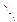